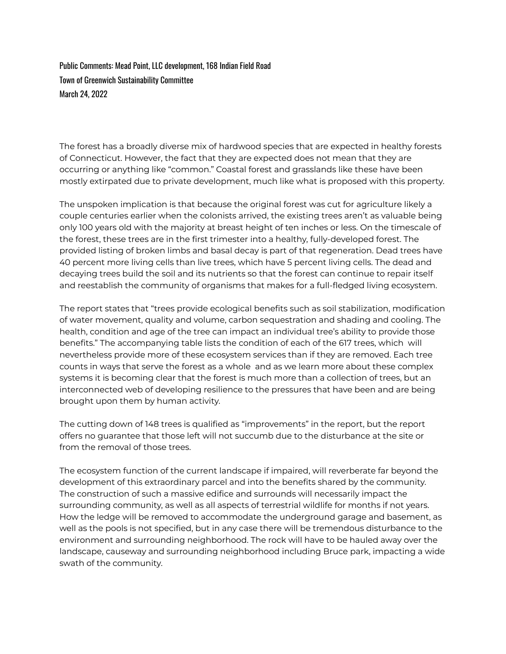Public Comments: Mead Point, LLC development, 168 Indian Field Road Town of Greenwich Sustainability Committee March 24, 2022

The forest has a broadly diverse mix of hardwood species that are expected in healthy forests of Connecticut. However, the fact that they are expected does not mean that they are occurring or anything like "common." Coastal forest and grasslands like these have been mostly extirpated due to private development, much like what is proposed with this property.

The unspoken implication is that because the original forest was cut for agriculture likely a couple centuries earlier when the colonists arrived, the existing trees aren't as valuable being only 100 years old with the majority at breast height of ten inches or less. On the timescale of the forest, these trees are in the first trimester into a healthy, fully-developed forest. The provided listing of broken limbs and basal decay is part of that regeneration. Dead trees have 40 percent more living cells than live trees, which have 5 percent living cells. The dead and decaying trees build the soil and its nutrients so that the forest can continue to repair itself and reestablish the community of organisms that makes for a full-fledged living ecosystem.

The report states that "trees provide ecological benefits such as soil stabilization, modification of water movement, quality and volume, carbon sequestration and shading and cooling. The health, condition and age of the tree can impact an individual tree's ability to provide those benefits." The accompanying table lists the condition of each of the 617 trees, which will nevertheless provide more of these ecosystem services than if they are removed. Each tree counts in ways that serve the forest as a whole and as we learn more about these complex systems it is becoming clear that the forest is much more than a collection of trees, but an interconnected web of developing resilience to the pressures that have been and are being brought upon them by human activity.

The cutting down of 148 trees is qualified as "improvements" in the report, but the report offers no guarantee that those left will not succumb due to the disturbance at the site or from the removal of those trees.

The ecosystem function of the current landscape if impaired, will reverberate far beyond the development of this extraordinary parcel and into the benefits shared by the community. The construction of such a massive edifice and surrounds will necessarily impact the surrounding community, as well as all aspects of terrestrial wildlife for months if not years. How the ledge will be removed to accommodate the underground garage and basement, as well as the pools is not specified, but in any case there will be tremendous disturbance to the environment and surrounding neighborhood. The rock will have to be hauled away over the landscape, causeway and surrounding neighborhood including Bruce park, impacting a wide swath of the community.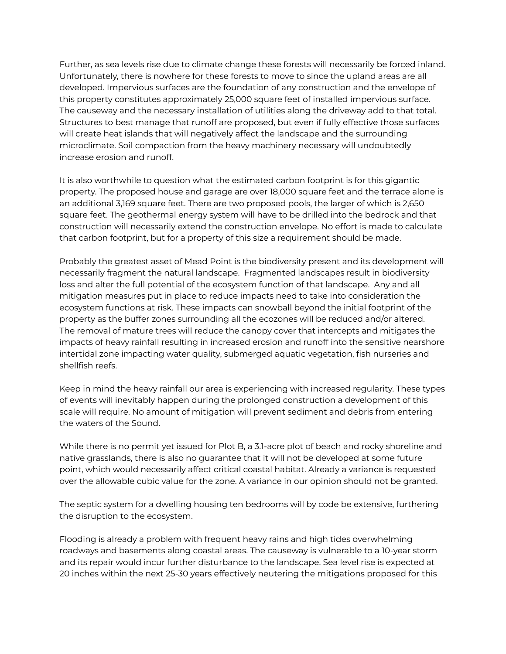Further, as sea levels rise due to climate change these forests will necessarily be forced inland. Unfortunately, there is nowhere for these forests to move to since the upland areas are all developed. Impervious surfaces are the foundation of any construction and the envelope of this property constitutes approximately 25,000 square feet of installed impervious surface. The causeway and the necessary installation of utilities along the driveway add to that total. Structures to best manage that runoff are proposed, but even if fully effective those surfaces will create heat islands that will negatively affect the landscape and the surrounding microclimate. Soil compaction from the heavy machinery necessary will undoubtedly increase erosion and runoff.

It is also worthwhile to question what the estimated carbon footprint is for this gigantic property. The proposed house and garage are over 18,000 square feet and the terrace alone is an additional 3,169 square feet. There are two proposed pools, the larger of which is 2,650 square feet. The geothermal energy system will have to be drilled into the bedrock and that construction will necessarily extend the construction envelope. No effort is made to calculate that carbon footprint, but for a property of this size a requirement should be made.

Probably the greatest asset of Mead Point is the biodiversity present and its development will necessarily fragment the natural landscape. Fragmented landscapes result in biodiversity loss and alter the full potential of the ecosystem function of that landscape. Any and all mitigation measures put in place to reduce impacts need to take into consideration the ecosystem functions at risk. These impacts can snowball beyond the initial footprint of the property as the buffer zones surrounding all the ecozones will be reduced and/or altered. The removal of mature trees will reduce the canopy cover that intercepts and mitigates the impacts of heavy rainfall resulting in increased erosion and runoff into the sensitive nearshore intertidal zone impacting water quality, submerged aquatic vegetation, fish nurseries and shellfish reefs.

Keep in mind the heavy rainfall our area is experiencing with increased regularity. These types of events will inevitably happen during the prolonged construction a development of this scale will require. No amount of mitigation will prevent sediment and debris from entering the waters of the Sound.

While there is no permit yet issued for Plot B, a 3.1-acre plot of beach and rocky shoreline and native grasslands, there is also no guarantee that it will not be developed at some future point, which would necessarily affect critical coastal habitat. Already a variance is requested over the allowable cubic value for the zone. A variance in our opinion should not be granted.

The septic system for a dwelling housing ten bedrooms will by code be extensive, furthering the disruption to the ecosystem.

Flooding is already a problem with frequent heavy rains and high tides overwhelming roadways and basements along coastal areas. The causeway is vulnerable to a 10-year storm and its repair would incur further disturbance to the landscape. Sea level rise is expected at 20 inches within the next 25-30 years effectively neutering the mitigations proposed for this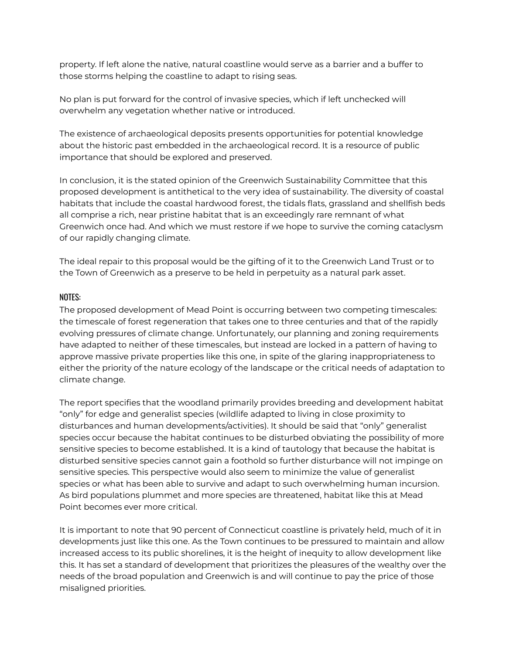property. If left alone the native, natural coastline would serve as a barrier and a buffer to those storms helping the coastline to adapt to rising seas.

No plan is put forward for the control of invasive species, which if left unchecked will overwhelm any vegetation whether native or introduced.

The existence of archaeological deposits presents opportunities for potential knowledge about the historic past embedded in the archaeological record. It is a resource of public importance that should be explored and preserved.

In conclusion, it is the stated opinion of the Greenwich Sustainability Committee that this proposed development is antithetical to the very idea of sustainability. The diversity of coastal habitats that include the coastal hardwood forest, the tidals flats, grassland and shellfish beds all comprise a rich, near pristine habitat that is an exceedingly rare remnant of what Greenwich once had. And which we must restore if we hope to survive the coming cataclysm of our rapidly changing climate.

The ideal repair to this proposal would be the gifting of it to the Greenwich Land Trust or to the Town of Greenwich as a preserve to be held in perpetuity as a natural park asset.

## NOTES:

The proposed development of Mead Point is occurring between two competing timescales: the timescale of forest regeneration that takes one to three centuries and that of the rapidly evolving pressures of climate change. Unfortunately, our planning and zoning requirements have adapted to neither of these timescales, but instead are locked in a pattern of having to approve massive private properties like this one, in spite of the glaring inappropriateness to either the priority of the nature ecology of the landscape or the critical needs of adaptation to climate change.

The report specifies that the woodland primarily provides breeding and development habitat "only" for edge and generalist species (wildlife adapted to living in close proximity to disturbances and human developments/activities). It should be said that "only" generalist species occur because the habitat continues to be disturbed obviating the possibility of more sensitive species to become established. It is a kind of tautology that because the habitat is disturbed sensitive species cannot gain a foothold so further disturbance will not impinge on sensitive species. This perspective would also seem to minimize the value of generalist species or what has been able to survive and adapt to such overwhelming human incursion. As bird populations plummet and more species are threatened, habitat like this at Mead Point becomes ever more critical.

It is important to note that 90 percent of Connecticut coastline is privately held, much of it in developments just like this one. As the Town continues to be pressured to maintain and allow increased access to its public shorelines, it is the height of inequity to allow development like this. It has set a standard of development that prioritizes the pleasures of the wealthy over the needs of the broad population and Greenwich is and will continue to pay the price of those misaligned priorities.